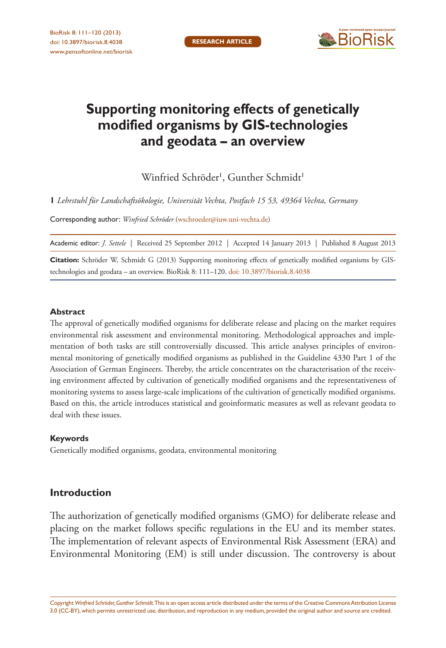

# **Supporting monitoring effects of genetically modified organisms by GIS-technologies and geodata – an overview**

Winfried Schröder<sup>1</sup>, Gunther Schmidt<sup>1</sup>

**1** *Lehrstuhl für Landschaftsökologie, Universität Vechta, Postfach 15 53, 49364 Vechta, Germany*

Corresponding author: *Winfried Schröder* ([wschroeder@iuw.uni-vechta.de](mailto:wschroeder@iuw.uni-vechta.de))

| Academic editor: <i>J. Settele</i>   Received 25 September 2012   Accepted 14 January 2013   Published 8 August 2013  |
|-----------------------------------------------------------------------------------------------------------------------|
| <b>Citation:</b> Schröder W, Schmidt G (2013) Supporting monitoring effects of genetically modified organisms by GIS- |
| technologies and geodata – an overview. BioRisk 8: 111–120. doi: 10.3897/biorisk.8.4038                               |

#### **Abstract**

The approval of genetically modified organisms for deliberate release and placing on the market requires environmental risk assessment and environmental monitoring. Methodological approaches and implementation of both tasks are still controversially discussed. This article analyses principles of environmental monitoring of genetically modified organisms as published in the Guideline 4330 Part 1 of the Association of German Engineers. Thereby, the article concentrates on the characterisation of the receiving environment affected by cultivation of genetically modified organisms and the representativeness of monitoring systems to assess large-scale implications of the cultivation of genetically modified organisms. Based on this, the article introduces statistical and geoinformatic measures as well as relevant geodata to deal with these issues.

#### **Keywords**

Genetically modified organisms, geodata, environmental monitoring

## **Introduction**

The authorization of genetically modified organisms (GMO) for deliberate release and placing on the market follows specific regulations in the EU and its member states. The implementation of relevant aspects of Environmental Risk Assessment (ERA) and Environmental Monitoring (EM) is still under discussion. The controversy is about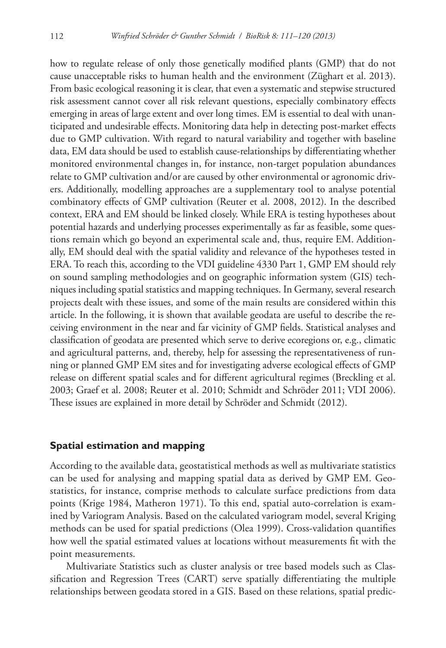how to regulate release of only those genetically modified plants (GMP) that do not cause unacceptable risks to human health and the environment (Züghart et al. 2013). From basic ecological reasoning it is clear, that even a systematic and stepwise structured risk assessment cannot cover all risk relevant questions, especially combinatory effects emerging in areas of large extent and over long times. EM is essential to deal with unanticipated and undesirable effects. Monitoring data help in detecting post-market effects due to GMP cultivation. With regard to natural variability and together with baseline data, EM data should be used to establish cause-relationships by differentiating whether monitored environmental changes in, for instance, non-target population abundances relate to GMP cultivation and/or are caused by other environmental or agronomic drivers. Additionally, modelling approaches are a supplementary tool to analyse potential combinatory effects of GMP cultivation (Reuter et al. 2008, 2012). In the described context, ERA and EM should be linked closely. While ERA is testing hypotheses about potential hazards and underlying processes experimentally as far as feasible, some questions remain which go beyond an experimental scale and, thus, require EM. Additionally, EM should deal with the spatial validity and relevance of the hypotheses tested in ERA. To reach this, according to the VDI guideline 4330 Part 1, GMP EM should rely on sound sampling methodologies and on geographic information system (GIS) techniques including spatial statistics and mapping techniques. In Germany, several research projects dealt with these issues, and some of the main results are considered within this article. In the following, it is shown that available geodata are useful to describe the receiving environment in the near and far vicinity of GMP fields. Statistical analyses and classification of geodata are presented which serve to derive ecoregions or, e.g., climatic and agricultural patterns, and, thereby, help for assessing the representativeness of running or planned GMP EM sites and for investigating adverse ecological effects of GMP release on different spatial scales and for different agricultural regimes (Breckling et al. 2003; Graef et al. 2008; Reuter et al. 2010; Schmidt and Schröder 2011; VDI 2006). These issues are explained in more detail by Schröder and Schmidt (2012).

#### **Spatial estimation and mapping**

According to the available data, geostatistical methods as well as multivariate statistics can be used for analysing and mapping spatial data as derived by GMP EM. Geostatistics, for instance, comprise methods to calculate surface predictions from data points (Krige 1984, Matheron 1971). To this end, spatial auto-correlation is examined by Variogram Analysis. Based on the calculated variogram model, several Kriging methods can be used for spatial predictions (Olea 1999). Cross-validation quantifies how well the spatial estimated values at locations without measurements fit with the point measurements.

Multivariate Statistics such as cluster analysis or tree based models such as Classification and Regression Trees (CART) serve spatially differentiating the multiple relationships between geodata stored in a GIS. Based on these relations, spatial predic-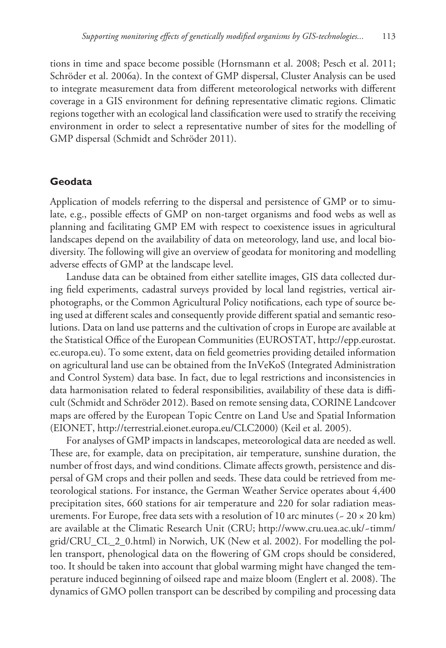tions in time and space become possible (Hornsmann et al. 2008; Pesch et al. 2011; Schröder et al. 2006a). In the context of GMP dispersal, Cluster Analysis can be used to integrate measurement data from different meteorological networks with different coverage in a GIS environment for defining representative climatic regions. Climatic regions together with an ecological land classification were used to stratify the receiving environment in order to select a representative number of sites for the modelling of GMP dispersal (Schmidt and Schröder 2011).

## **Geodata**

Application of models referring to the dispersal and persistence of GMP or to simulate, e.g., possible effects of GMP on non-target organisms and food webs as well as planning and facilitating GMP EM with respect to coexistence issues in agricultural landscapes depend on the availability of data on meteorology, land use, and local biodiversity. The following will give an overview of geodata for monitoring and modelling adverse effects of GMP at the landscape level.

Landuse data can be obtained from either satellite images, GIS data collected during field experiments, cadastral surveys provided by local land registries, vertical airphotographs, or the Common Agricultural Policy notifications, each type of source being used at different scales and consequently provide different spatial and semantic resolutions. Data on land use patterns and the cultivation of crops in Europe are available at the Statistical Office of the European Communities (EUROSTAT, [http://epp.eurostat.](http://epp.eurostat.ec.europa.eu/) [ec.europa.eu](http://epp.eurostat.ec.europa.eu/)). To some extent, data on field geometries providing detailed information on agricultural land use can be obtained from the InVeKoS (Integrated Administration and Control System) data base. In fact, due to legal restrictions and inconsistencies in data harmonisation related to federal responsibilities, availability of these data is difficult (Schmidt and Schröder 2012). Based on remote sensing data, CORINE Landcover maps are offered by the European Topic Centre on Land Use and Spatial Information (EIONET, [http://terrestrial.eionet.europa.eu/CLC2000\)](http://terrestrial.eionet.europa.eu/CLC2000) (Keil et al. 2005).

For analyses of GMP impacts in landscapes, meteorological data are needed as well. These are, for example, data on precipitation, air temperature, sunshine duration, the number of frost days, and wind conditions. Climate affects growth, persistence and dispersal of GM crops and their pollen and seeds. These data could be retrieved from meteorological stations. For instance, the German Weather Service operates about 4,400 precipitation sites, 660 stations for air temperature and 220 for solar radiation measurements. For Europe, free data sets with a resolution of 10 arc minutes ( $\sim 20 \times 20$  km) are available at the Climatic Research Unit (CRU; [http://www.cru.uea.ac.uk/~timm/](http://www.cru.uea.ac.uk/~timm/grid/CRU_CL_2_0.html) [grid/CRU\\_CL\\_2\\_0.html\)](http://www.cru.uea.ac.uk/~timm/grid/CRU_CL_2_0.html) in Norwich, UK (New et al. 2002). For modelling the pollen transport, phenological data on the flowering of GM crops should be considered, too. It should be taken into account that global warming might have changed the temperature induced beginning of oilseed rape and maize bloom (Englert et al. 2008). The dynamics of GMO pollen transport can be described by compiling and processing data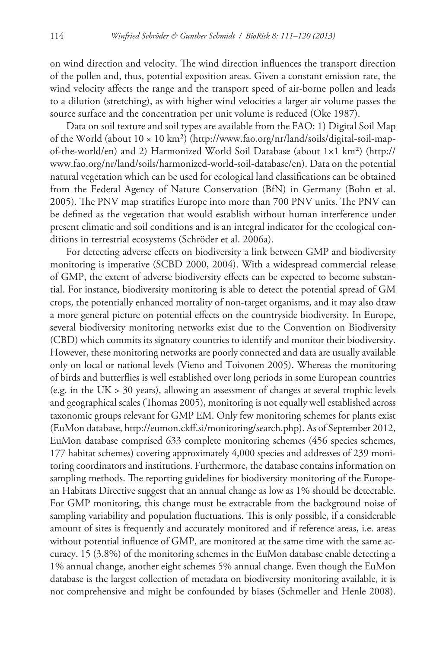on wind direction and velocity. The wind direction influences the transport direction of the pollen and, thus, potential exposition areas. Given a constant emission rate, the wind velocity affects the range and the transport speed of air-borne pollen and leads to a dilution (stretching), as with higher wind velocities a larger air volume passes the source surface and the concentration per unit volume is reduced (Oke 1987).

Data on soil texture and soil types are available from the FAO: 1) Digital Soil Map of the World (about  $10 \times 10 \text{ km}^2$ ) [\(http://www.fao.org/nr/land/soils/digital-soil-map](http://www.fao.org/nr/land/soils/digital-soil-map-of-the-world/en)[of-the-world/en\)](http://www.fao.org/nr/land/soils/digital-soil-map-of-the-world/en) and 2) Harmonized World Soil Database (about 1×1 km²) [\(http://](http://www.fao.org/nr/land/soils/harmonized-world-soil-database/en) [www.fao.org/nr/land/soils/harmonized-world-soil-database/en](http://www.fao.org/nr/land/soils/harmonized-world-soil-database/en)). Data on the potential natural vegetation which can be used for ecological land classifications can be obtained from the Federal Agency of Nature Conservation (BfN) in Germany (Bohn et al. 2005). The PNV map stratifies Europe into more than 700 PNV units. The PNV can be defined as the vegetation that would establish without human interference under present climatic and soil conditions and is an integral indicator for the ecological conditions in terrestrial ecosystems (Schröder et al. 2006a).

For detecting adverse effects on biodiversity a link between GMP and biodiversity monitoring is imperative (SCBD 2000, 2004). With a widespread commercial release of GMP, the extent of adverse biodiversity effects can be expected to become substantial. For instance, biodiversity monitoring is able to detect the potential spread of GM crops, the potentially enhanced mortality of non-target organisms, and it may also draw a more general picture on potential effects on the countryside biodiversity. In Europe, several biodiversity monitoring networks exist due to the Convention on Biodiversity (CBD) which commits its signatory countries to identify and monitor their biodiversity. However, these monitoring networks are poorly connected and data are usually available only on local or national levels (Vieno and Toivonen 2005). Whereas the monitoring of birds and butterflies is well established over long periods in some European countries (e.g. in the UK > 30 years), allowing an assessment of changes at several trophic levels and geographical scales (Thomas 2005), monitoring is not equally well established across taxonomic groups relevant for GMP EM. Only few monitoring schemes for plants exist (EuMon database, [http://eumon.ckff.si/monitoring/search.php\)](http://eumon.ckff.si/monitoring/search.php). As of September 2012, EuMon database comprised 633 complete monitoring schemes (456 species schemes, 177 habitat schemes) covering approximately 4,000 species and addresses of 239 monitoring coordinators and institutions. Furthermore, the database contains information on sampling methods. The reporting guidelines for biodiversity monitoring of the European Habitats Directive suggest that an annual change as low as 1% should be detectable. For GMP monitoring, this change must be extractable from the background noise of sampling variability and population fluctuations. This is only possible, if a considerable amount of sites is frequently and accurately monitored and if reference areas, i.e. areas without potential influence of GMP, are monitored at the same time with the same accuracy. 15 (3.8%) of the monitoring schemes in the EuMon database enable detecting a 1% annual change, another eight schemes 5% annual change. Even though the EuMon database is the largest collection of metadata on biodiversity monitoring available, it is not comprehensive and might be confounded by biases (Schmeller and Henle 2008).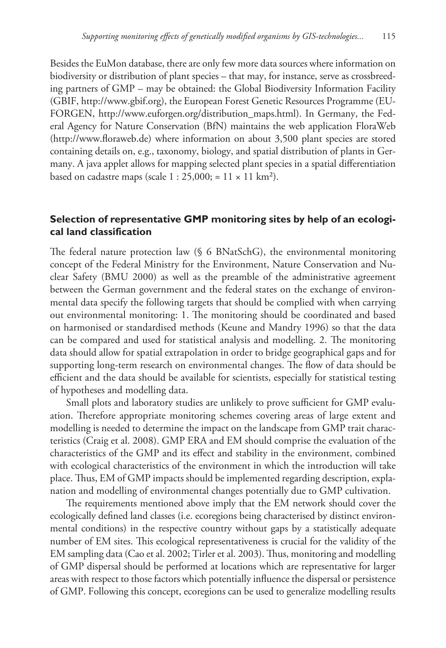Besides the EuMon database, there are only few more data sources where information on biodiversity or distribution of plant species – that may, for instance, serve as crossbreeding partners of GMP – may be obtained: the Global Biodiversity Information Facility (GBIF, [http://www.gbif.org\)](http://www.gbif.org/), the European Forest Genetic Resources Programme (EU-FORGEN, [http://www.euforgen.org/distribution\\_maps.html](http://www.euforgen.org/distribution_maps.html)). In Germany, the Federal Agency for Nature Conservation (BfN) maintains the web application FloraWeb ([http://www.floraweb.de](http://www.floraweb.de/)) where information on about 3,500 plant species are stored containing details on, e.g., taxonomy, biology, and spatial distribution of plants in Germany. A java applet allows for mapping selected plant species in a spatial differentiation based on cadastre maps (scale  $1:25,000$ ;  $\approx 11 \times 11$  km<sup>2</sup>).

## **Selection of representative GMP monitoring sites by help of an ecological land classification**

The federal nature protection law  $(\S$  6 BNatSchG), the environmental monitoring concept of the Federal Ministry for the Environment, Nature Conservation and Nuclear Safety (BMU 2000) as well as the preamble of the administrative agreement between the German government and the federal states on the exchange of environmental data specify the following targets that should be complied with when carrying out environmental monitoring: 1. The monitoring should be coordinated and based on harmonised or standardised methods (Keune and Mandry 1996) so that the data can be compared and used for statistical analysis and modelling. 2. The monitoring data should allow for spatial extrapolation in order to bridge geographical gaps and for supporting long-term research on environmental changes. The flow of data should be efficient and the data should be available for scientists, especially for statistical testing of hypotheses and modelling data.

Small plots and laboratory studies are unlikely to prove sufficient for GMP evaluation. Therefore appropriate monitoring schemes covering areas of large extent and modelling is needed to determine the impact on the landscape from GMP trait characteristics (Craig et al. 2008). GMP ERA and EM should comprise the evaluation of the characteristics of the GMP and its effect and stability in the environment, combined with ecological characteristics of the environment in which the introduction will take place. Thus, EM of GMP impacts should be implemented regarding description, explanation and modelling of environmental changes potentially due to GMP cultivation.

The requirements mentioned above imply that the EM network should cover the ecologically defined land classes (i.e. ecoregions being characterised by distinct environmental conditions) in the respective country without gaps by a statistically adequate number of EM sites. This ecological representativeness is crucial for the validity of the EM sampling data (Cao et al. 2002; Tirler et al. 2003). Thus, monitoring and modelling of GMP dispersal should be performed at locations which are representative for larger areas with respect to those factors which potentially influence the dispersal or persistence of GMP. Following this concept, ecoregions can be used to generalize modelling results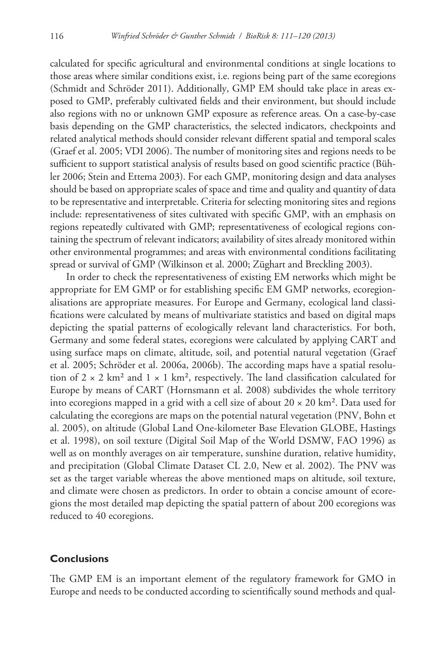calculated for specific agricultural and environmental conditions at single locations to those areas where similar conditions exist, i.e. regions being part of the same ecoregions (Schmidt and Schröder 2011). Additionally, GMP EM should take place in areas exposed to GMP, preferably cultivated fields and their environment, but should include also regions with no or unknown GMP exposure as reference areas. On a case-by-case basis depending on the GMP characteristics, the selected indicators, checkpoints and related analytical methods should consider relevant different spatial and temporal scales (Graef et al. 2005; VDI 2006). The number of monitoring sites and regions needs to be sufficient to support statistical analysis of results based on good scientific practice (Bühler 2006; Stein and Ettema 2003). For each GMP, monitoring design and data analyses should be based on appropriate scales of space and time and quality and quantity of data to be representative and interpretable. Criteria for selecting monitoring sites and regions include: representativeness of sites cultivated with specific GMP, with an emphasis on regions repeatedly cultivated with GMP; representativeness of ecological regions containing the spectrum of relevant indicators; availability of sites already monitored within other environmental programmes; and areas with environmental conditions facilitating spread or survival of GMP (Wilkinson et al. 2000; Züghart and Breckling 2003).

In order to check the representativeness of existing EM networks which might be appropriate for EM GMP or for establishing specific EM GMP networks, ecoregionalisations are appropriate measures. For Europe and Germany, ecological land classifications were calculated by means of multivariate statistics and based on digital maps depicting the spatial patterns of ecologically relevant land characteristics. For both, Germany and some federal states, ecoregions were calculated by applying CART and using surface maps on climate, altitude, soil, and potential natural vegetation (Graef et al. 2005; Schröder et al. 2006a, 2006b). The according maps have a spatial resolution of  $2 \times 2$  km<sup>2</sup> and  $1 \times 1$  km<sup>2</sup>, respectively. The land classification calculated for Europe by means of CART (Hornsmann et al. 2008) subdivides the whole territory into ecoregions mapped in a grid with a cell size of about  $20 \times 20$  km<sup>2</sup>. Data used for calculating the ecoregions are maps on the potential natural vegetation (PNV, Bohn et al. 2005), on altitude (Global Land One-kilometer Base Elevation GLOBE, Hastings et al. 1998), on soil texture (Digital Soil Map of the World DSMW, FAO 1996) as well as on monthly averages on air temperature, sunshine duration, relative humidity, and precipitation (Global Climate Dataset CL 2.0, New et al. 2002). The PNV was set as the target variable whereas the above mentioned maps on altitude, soil texture, and climate were chosen as predictors. In order to obtain a concise amount of ecoregions the most detailed map depicting the spatial pattern of about 200 ecoregions was reduced to 40 ecoregions.

### **Conclusions**

The GMP EM is an important element of the regulatory framework for GMO in Europe and needs to be conducted according to scientifically sound methods and qual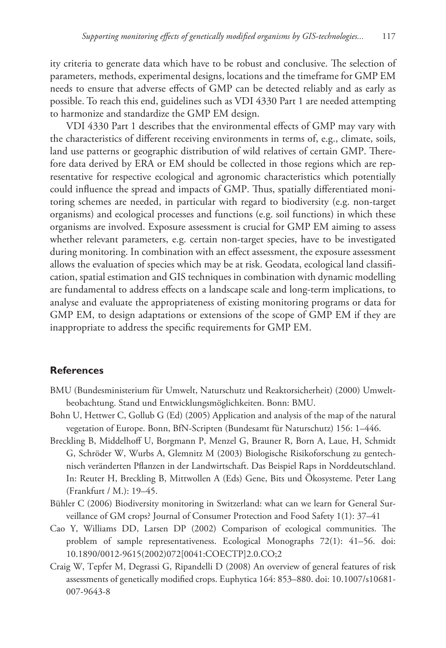ity criteria to generate data which have to be robust and conclusive. The selection of parameters, methods, experimental designs, locations and the timeframe for GMP EM needs to ensure that adverse effects of GMP can be detected reliably and as early as possible. To reach this end, guidelines such as VDI 4330 Part 1 are needed attempting to harmonize and standardize the GMP EM design.

VDI 4330 Part 1 describes that the environmental effects of GMP may vary with the characteristics of different receiving environments in terms of, e.g., climate, soils, land use patterns or geographic distribution of wild relatives of certain GMP. Therefore data derived by ERA or EM should be collected in those regions which are representative for respective ecological and agronomic characteristics which potentially could influence the spread and impacts of GMP. Thus, spatially differentiated monitoring schemes are needed, in particular with regard to biodiversity (e.g. non-target organisms) and ecological processes and functions (e.g. soil functions) in which these organisms are involved. Exposure assessment is crucial for GMP EM aiming to assess whether relevant parameters, e.g. certain non-target species, have to be investigated during monitoring. In combination with an effect assessment, the exposure assessment allows the evaluation of species which may be at risk. Geodata, ecological land classification, spatial estimation and GIS techniques in combination with dynamic modelling are fundamental to address effects on a landscape scale and long-term implications, to analyse and evaluate the appropriateness of existing monitoring programs or data for GMP EM, to design adaptations or extensions of the scope of GMP EM if they are inappropriate to address the specific requirements for GMP EM.

#### **References**

- BMU (Bundesministerium für Umwelt, Naturschutz und Reaktorsicherheit) (2000) Umweltbeobachtung. Stand und Entwicklungsmöglichkeiten. Bonn: BMU.
- Bohn U, Hettwer C, Gollub G (Ed) (2005) Application and analysis of the map of the natural vegetation of Europe. Bonn, BfN-Scripten (Bundesamt für Naturschutz) 156: 1–446.
- Breckling B, Middelhoff U, Borgmann P, Menzel G, Brauner R, Born A, Laue, H, Schmidt G, Schröder W, Wurbs A, Glemnitz M (2003) Biologische Risikoforschung zu gentechnisch veränderten Pflanzen in der Landwirtschaft. Das Beispiel Raps in Norddeutschland. In: Reuter H, Breckling B, Mittwollen A (Eds) Gene, Bits und Ökosysteme. Peter Lang (Frankfurt / M.): 19–45.
- Bühler C (2006) Biodiversity monitoring in Switzerland: what can we learn for General Surveillance of GM crops? Journal of Consumer Protection and Food Safety 1(1): 37–41
- Cao Y, Williams DD, Larsen DP (2002) Comparison of ecological communities. The problem of sample representativeness. Ecological Monographs 72(1): 41–56. [doi:](http://dx.doi.org/10.1890/0012-9615(2002)072[0041:COECTP]2.0.CO;2) [10.1890/0012-9615\(2002\)072\[0041:COECTP\]2.0.CO;2](http://dx.doi.org/10.1890/0012-9615(2002)072[0041:COECTP]2.0.CO;2)
- Craig W, Tepfer M, Degrassi G, Ripandelli D (2008) An overview of general features of risk assessments of genetically modified crops. Euphytica 164: 853–880. [doi: 10.1007/s10681-](http://dx.doi.org/10.1007/s10681-007-9643-8) [007-9643-8](http://dx.doi.org/10.1007/s10681-007-9643-8)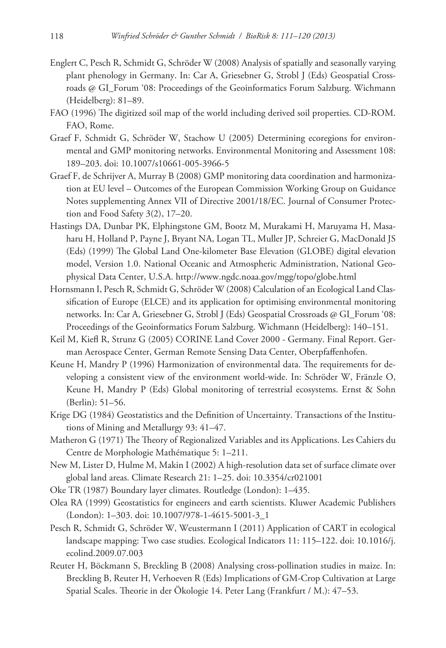- Englert C, Pesch R, Schmidt G, Schröder W (2008) Analysis of spatially and seasonally varying plant phenology in Germany. In: Car A, Griesebner G, Strobl J (Eds) Geospatial Crossroads @ GI\_Forum '08: Proceedings of the Geoinformatics Forum Salzburg. Wichmann (Heidelberg): 81–89.
- FAO (1996) The digitized soil map of the world including derived soil properties. CD-ROM. FAO, Rome.
- Graef F, Schmidt G, Schröder W, Stachow U (2005) Determining ecoregions for environmental and GMP monitoring networks. Environmental Monitoring and Assessment 108: 189–203. [doi: 10.1007/s10661-005-3966-5](http://dx.doi.org/10.1007/s10661-005-3966-5)
- Graef F, de Schrijver A, Murray B (2008) GMP monitoring data coordination and harmonization at EU level – Outcomes of the European Commission Working Group on Guidance Notes supplementing Annex VII of Directive 2001/18/EC. Journal of Consumer Protection and Food Safety 3(2), 17–20.
- Hastings DA, Dunbar PK, Elphingstone GM, Bootz M, Murakami H, Maruyama H, Masaharu H, Holland P, Payne J, Bryant NA, Logan TL, Muller JP, Schreier G, MacDonald JS (Eds) (1999) The Global Land One-kilometer Base Elevation (GLOBE) digital elevation model, Version 1.0. National Oceanic and Atmospheric Administration, National Geophysical Data Center, U.S.A.<http://www.ngdc.noaa.gov/mgg/topo/globe.html>
- Hornsmann I, Pesch R, Schmidt G, Schröder W (2008) Calculation of an Ecological Land Classification of Europe (ELCE) and its application for optimising environmental monitoring networks. In: Car A, Griesebner G, Strobl J (Eds) Geospatial Crossroads @ GI\_Forum '08: Proceedings of the Geoinformatics Forum Salzburg. Wichmann (Heidelberg): 140–151.
- Keil M, Kiefl R, Strunz G (2005) CORINE Land Cover 2000 Germany. Final Report. German Aerospace Center, German Remote Sensing Data Center, Oberpfaffenhofen.
- Keune H, Mandry P (1996) Harmonization of environmental data. The requirements for developing a consistent view of the environment world-wide. In: Schröder W, Fränzle O, Keune H, Mandry P (Eds) Global monitoring of terrestrial ecosystems. Ernst & Sohn (Berlin): 51–56.
- Krige DG (1984) Geostatistics and the Definition of Uncertainty. Transactions of the Institutions of Mining and Metallurgy 93: 41–47.
- Matheron G (1971) The Theory of Regionalized Variables and its Applications. Les Cahiers du Centre de Morphologie Mathématique 5: 1–211.
- New M, Lister D, Hulme M, Makin I (2002) A high-resolution data set of surface climate over global land areas. Climate Research 21: 1–25. [doi: 10.3354/cr021001](http://dx.doi.org/10.3354/cr021001)
- Oke TR (1987) Boundary layer climates. Routledge (London): 1–435.
- Olea RA (1999) Geostatistics for engineers and earth scientists. Kluwer Academic Publishers (London): 1–303. [doi: 10.1007/978-1-4615-5001-3\\_1](http://dx.doi.org/10.1007/978-1-4615-5001-3_1)
- Pesch R, Schmidt G, Schröder W, Weustermann I (2011) Application of CART in ecological landscape mapping: Two case studies. Ecological Indicators 11: 115–122. [doi: 10.1016/j.](http://dx.doi.org/10.1016/j.ecolind.2009.07.003) [ecolind.2009.07.003](http://dx.doi.org/10.1016/j.ecolind.2009.07.003)
- Reuter H, Böckmann S, Breckling B (2008) Analysing cross-pollination studies in maize. In: Breckling B, Reuter H, Verhoeven R (Eds) Implications of GM-Crop Cultivation at Large Spatial Scales. Theorie in der Ökologie 14. Peter Lang (Frankfurt / M.): 47–53.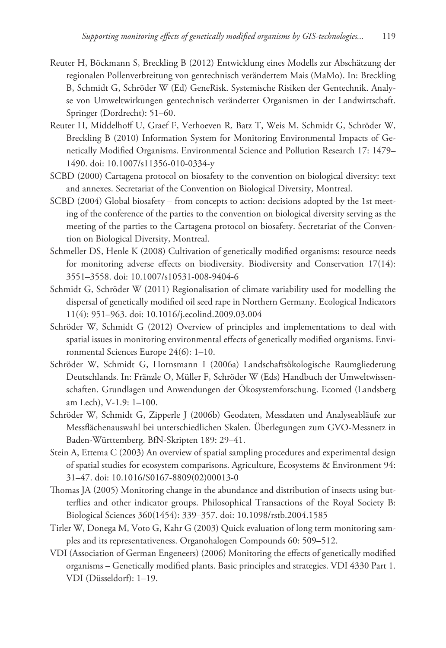- Reuter H, Böckmann S, Breckling B (2012) Entwicklung eines Modells zur Abschätzung der regionalen Pollenverbreitung von gentechnisch verändertem Mais (MaMo). In: Breckling B, Schmidt G, Schröder W (Ed) GeneRisk. Systemische Risiken der Gentechnik. Analyse von Umweltwirkungen gentechnisch veränderter Organismen in der Landwirtschaft. Springer (Dordrecht): 51–60.
- Reuter H, Middelhoff U, Graef F, Verhoeven R, Batz T, Weis M, Schmidt G, Schröder W, Breckling B (2010) Information System for Monitoring Environmental Impacts of Genetically Modified Organisms. Environmental Science and Pollution Research 17: 1479– 1490. [doi: 10.1007/s11356-010-0334-y](http://dx.doi.org/10.1007/s11356-010-0334-y)
- SCBD (2000) Cartagena protocol on biosafety to the convention on biological diversity: text and annexes. Secretariat of the Convention on Biological Diversity, Montreal.
- SCBD (2004) Global biosafety from concepts to action: decisions adopted by the 1st meeting of the conference of the parties to the convention on biological diversity serving as the meeting of the parties to the Cartagena protocol on biosafety. Secretariat of the Convention on Biological Diversity, Montreal.
- Schmeller DS, Henle K (2008) Cultivation of genetically modified organisms: resource needs for monitoring adverse effects on biodiversity. Biodiversity and Conservation 17(14): 3551–3558. [doi: 10.1007/s10531-008-9404-6](http://dx.doi.org/10.1007/s10531-008-9404-6)
- Schmidt G, Schröder W (2011) Regionalisation of climate variability used for modelling the dispersal of genetically modified oil seed rape in Northern Germany. Ecological Indicators 11(4): 951–963. [doi: 10.1016/j.ecolind.2009.03.004](http://dx.doi.org/10.1016/j.ecolind.2009.03.004)
- Schröder W, Schmidt G (2012) Overview of principles and implementations to deal with spatial issues in monitoring environmental effects of genetically modified organisms. Environmental Sciences Europe 24(6): 1–10.
- Schröder W, Schmidt G, Hornsmann I (2006a) Landschaftsökologische Raumgliederung Deutschlands. In: Fränzle O, Müller F, Schröder W (Eds) Handbuch der Umweltwissenschaften. Grundlagen und Anwendungen der Ökosystemforschung. Ecomed (Landsberg am Lech), V-1.9: 1–100.
- Schröder W, Schmidt G, Zipperle J (2006b) Geodaten, Messdaten und Analyseabläufe zur Messflächenauswahl bei unterschiedlichen Skalen. Überlegungen zum GVO-Messnetz in Baden-Württemberg. BfN-Skripten 189: 29–41.
- Stein A, Ettema C (2003) An overview of spatial sampling procedures and experimental design of spatial studies for ecosystem comparisons. Agriculture, Ecosystems & Environment 94: 31–47. [doi: 10.1016/S0167-8809\(02\)00013-0](http://dx.doi.org/10.1016/S0167-8809(02)00013-0)
- Thomas JA (2005) Monitoring change in the abundance and distribution of insects using butterflies and other indicator groups. Philosophical Transactions of the Royal Society B: Biological Sciences 360(1454): 339–357. [doi: 10.1098/rstb.2004.1585](http://dx.doi.org/10.1098/rstb.2004.1585)
- Tirler W, Donega M, Voto G, Kahr G (2003) Quick evaluation of long term monitoring samples and its representativeness. Organohalogen Compounds 60: 509–512.
- VDI (Association of German Engeneers) (2006) Monitoring the effects of genetically modified organisms – Genetically modified plants. Basic principles and strategies. VDI 4330 Part 1. VDI (Düsseldorf): 1–19.